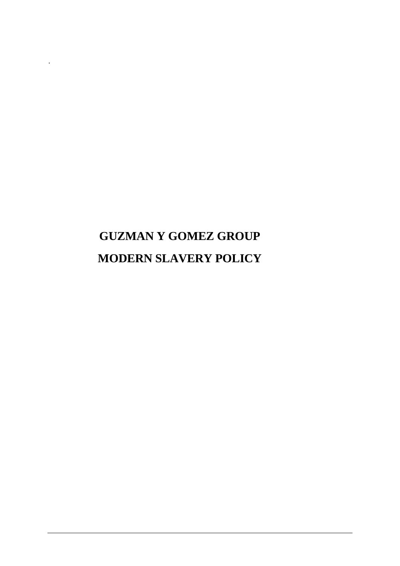# **GUZMAN Y GOMEZ GROUP MODERN SLAVERY POLICY**

.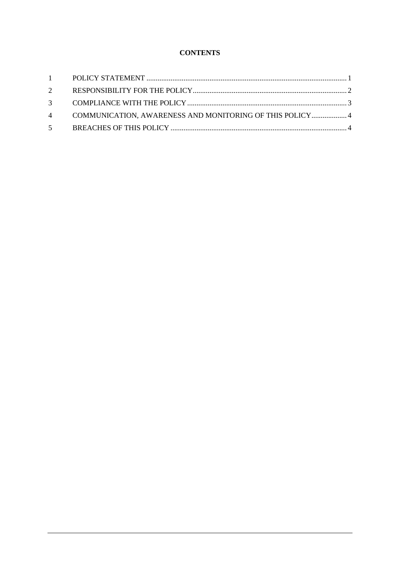## **CONTENTS**

| 4 COMMUNICATION, AWARENESS AND MONITORING OF THIS POLICY  4 |  |
|-------------------------------------------------------------|--|
|                                                             |  |
|                                                             |  |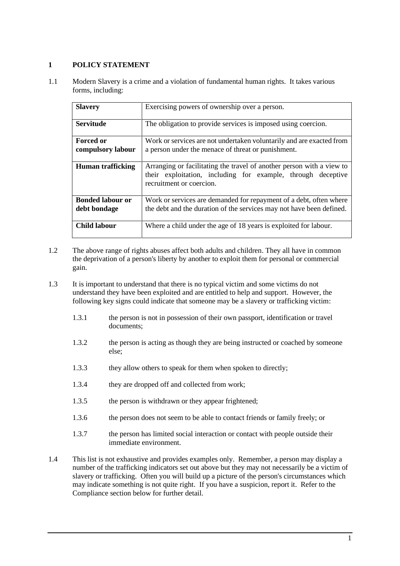## <span id="page-2-0"></span>**1 POLICY STATEMENT**

1.1 Modern Slavery is a crime and a violation of fundamental human rights. It takes various forms, including:

| <b>Slavery</b>                          | Exercising powers of ownership over a person.                                                                                                                     |
|-----------------------------------------|-------------------------------------------------------------------------------------------------------------------------------------------------------------------|
| <b>Servitude</b>                        | The obligation to provide services is imposed using coercion.                                                                                                     |
| <b>Forced or</b><br>compulsory labour   | Work or services are not undertaken voluntarily and are exacted from<br>a person under the menace of threat or punishment.                                        |
| <b>Human trafficking</b>                | Arranging or facilitating the travel of another person with a view to<br>their exploitation, including for example, through deceptive<br>recruitment or coercion. |
| <b>Bonded labour or</b><br>debt bondage | Work or services are demanded for repayment of a debt, often where<br>the debt and the duration of the services may not have been defined.                        |
| <b>Child labour</b>                     | Where a child under the age of 18 years is exploited for labour.                                                                                                  |

- 1.2 The above range of rights abuses affect both adults and children. They all have in common the deprivation of a person's liberty by another to exploit them for personal or commercial gain.
- 1.3 It is important to understand that there is no typical victim and some victims do not understand they have been exploited and are entitled to help and support. However, the following key signs could indicate that someone may be a slavery or trafficking victim:
	- 1.3.1 the person is not in possession of their own passport, identification or travel documents;
	- 1.3.2 the person is acting as though they are being instructed or coached by someone else;
	- 1.3.3 they allow others to speak for them when spoken to directly;
	- 1.3.4 they are dropped off and collected from work;
	- 1.3.5 the person is withdrawn or they appear frightened;
	- 1.3.6 the person does not seem to be able to contact friends or family freely; or
	- 1.3.7 the person has limited social interaction or contact with people outside their immediate environment.
- 1.4 This list is not exhaustive and provides examples only. Remember, a person may display a number of the trafficking indicators set out above but they may not necessarily be a victim of slavery or trafficking. Often you will build up a picture of the person's circumstances which may indicate something is not quite right. If you have a suspicion, report it. Refer to the Compliance section below for further detail.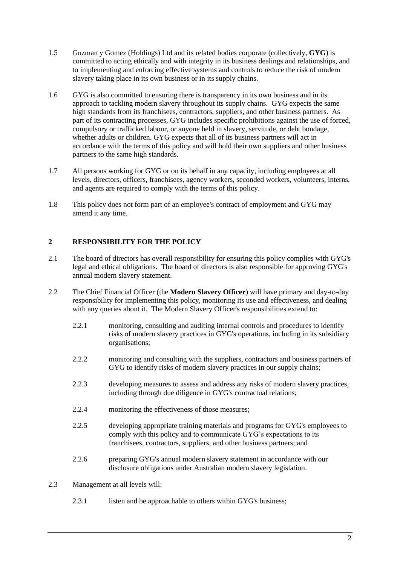- 1.5 Guzman y Gomez (Holdings) Ltd and its related bodies corporate (collectively, **GYG**) is committed to acting ethically and with integrity in its business dealings and relationships, and to implementing and enforcing effective systems and controls to reduce the risk of modern slavery taking place in its own business or in its supply chains.
- 1.6 GYG is also committed to ensuring there is transparency in its own business and in its approach to tackling modern slavery throughout its supply chains. GYG expects the same high standards from its franchisees, contractors, suppliers, and other business partners. As part of its contracting processes, GYG includes specific prohibitions against the use of forced, compulsory or trafficked labour, or anyone held in slavery, servitude, or debt bondage, whether adults or children. GYG expects that all of its business partners will act in accordance with the terms of this policy and will hold their own suppliers and other business partners to the same high standards.
- 1.7 All persons working for GYG or on its behalf in any capacity, including employees at all levels, directors, officers, franchisees, agency workers, seconded workers, volunteers, interns, and agents are required to comply with the terms of this policy.
- 1.8 This policy does not form part of an employee's contract of employment and GYG may amend it any time.

## <span id="page-3-0"></span>**2 RESPONSIBILITY FOR THE POLICY**

- 2.1 The board of directors has overall responsibility for ensuring this policy complies with GYG's legal and ethical obligations. The board of directors is also responsible for approving GYG's annual modern slavery statement.
- 2.2 The Chief Financial Officer (the **Modern Slavery Officer**) will have primary and day-to-day responsibility for implementing this policy, monitoring its use and effectiveness, and dealing with any queries about it. The Modern Slavery Officer's responsibilities extend to:
	- 2.2.1 monitoring, consulting and auditing internal controls and procedures to identify risks of modern slavery practices in GYG's operations, including in its subsidiary organisations;
	- 2.2.2 monitoring and consulting with the suppliers, contractors and business partners of GYG to identify risks of modern slavery practices in our supply chains:
	- 2.2.3 developing measures to assess and address any risks of modern slavery practices, including through due diligence in GYG's contractual relations;
	- 2.2.4 monitoring the effectiveness of those measures;
	- 2.2.5 developing appropriate training materials and programs for GYG's employees to comply with this policy and to communicate GYG's expectations to its franchisees, contractors, suppliers, and other business partners; and
	- 2.2.6 preparing GYG's annual modern slavery statement in accordance with our disclosure obligations under Australian modern slavery legislation.
- 2.3 Management at all levels will:
	- 2.3.1 listen and be approachable to others within GYG's business;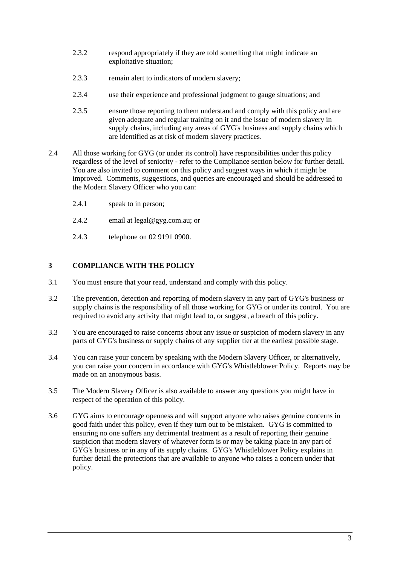- 2.3.2 respond appropriately if they are told something that might indicate an exploitative situation;
- 2.3.3 remain alert to indicators of modern slavery;
- 2.3.4 use their experience and professional judgment to gauge situations; and
- 2.3.5 ensure those reporting to them understand and comply with this policy and are given adequate and regular training on it and the issue of modern slavery in supply chains, including any areas of GYG's business and supply chains which are identified as at risk of modern slavery practices.
- 2.4 All those working for GYG (or under its control) have responsibilities under this policy regardless of the level of seniority - refer to the Compliance section below for further detail. You are also invited to comment on this policy and suggest ways in which it might be improved. Comments, suggestions, and queries are encouraged and should be addressed to the Modern Slavery Officer who you can:
	- 2.4.1 speak to in person;
	- 2.4.2 email at legal@gyg.com.au; or
	- 2.4.3 telephone on 02 9191 0900.

### <span id="page-4-0"></span>**3 COMPLIANCE WITH THE POLICY**

- 3.1 You must ensure that your read, understand and comply with this policy.
- 3.2 The prevention, detection and reporting of modern slavery in any part of GYG's business or supply chains is the responsibility of all those working for GYG or under its control. You are required to avoid any activity that might lead to, or suggest, a breach of this policy.
- 3.3 You are encouraged to raise concerns about any issue or suspicion of modern slavery in any parts of GYG's business or supply chains of any supplier tier at the earliest possible stage.
- 3.4 You can raise your concern by speaking with the Modern Slavery Officer, or alternatively, you can raise your concern in accordance with GYG's Whistleblower Policy. Reports may be made on an anonymous basis.
- 3.5 The Modern Slavery Officer is also available to answer any questions you might have in respect of the operation of this policy.
- 3.6 GYG aims to encourage openness and will support anyone who raises genuine concerns in good faith under this policy, even if they turn out to be mistaken. GYG is committed to ensuring no one suffers any detrimental treatment as a result of reporting their genuine suspicion that modern slavery of whatever form is or may be taking place in any part of GYG's business or in any of its supply chains. GYG's Whistleblower Policy explains in further detail the protections that are available to anyone who raises a concern under that policy.